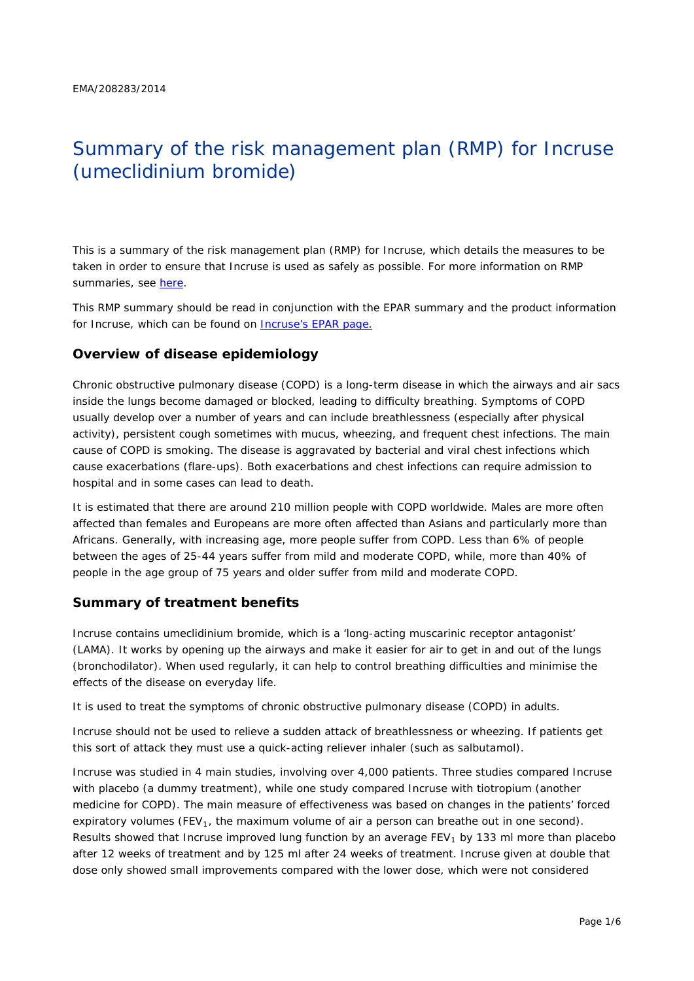# Summary of the risk management plan (RMP) for Incruse (umeclidinium bromide)

This is a summary of the risk management plan (RMP) for Incruse, which details the measures to be taken in order to ensure that Incruse is used as safely as possible. For more information on RMP summaries, see [here.](http://www.ema.europa.eu/docs/en_GB/document_library/Other/2014/05/WC500166101.pdf)

This RMP summary should be read in conjunction with the EPAR summary and the product information for Incruse, which can be found on [Incruse's EPAR page.](http://www.ema.europa.eu/ema/index.jsp?curl=/pages/medicines/human/medicines/002809/human_med_001755.jsp)

#### **Overview of disease epidemiology**

Chronic obstructive pulmonary disease (COPD) is a long-term disease in which the airways and air sacs inside the lungs become damaged or blocked, leading to difficulty breathing. Symptoms of COPD usually develop over a number of years and can include breathlessness (especially after physical activity), persistent cough sometimes with mucus, wheezing, and frequent chest infections. The main cause of COPD is smoking. The disease is aggravated by bacterial and viral chest infections which cause exacerbations (flare-ups). Both exacerbations and chest infections can require admission to hospital and in some cases can lead to death.

It is estimated that there are around 210 million people with COPD worldwide. Males are more often affected than females and Europeans are more often affected than Asians and particularly more than Africans. Generally, with increasing age, more people suffer from COPD. Less than 6% of people between the ages of 25-44 years suffer from mild and moderate COPD, while, more than 40% of people in the age group of 75 years and older suffer from mild and moderate COPD.

#### **Summary of treatment benefits**

Incruse contains umeclidinium bromide, which is a 'long-acting muscarinic receptor antagonist' (LAMA). It works by opening up the airways and make it easier for air to get in and out of the lungs (bronchodilator). When used regularly, it can help to control breathing difficulties and minimise the effects of the disease on everyday life.

It is used to treat the symptoms of chronic obstructive pulmonary disease (COPD) in adults.

Incruse should not be used to relieve a sudden attack of breathlessness or wheezing. If patients get this sort of attack they must use a quick-acting reliever inhaler (such as salbutamol).

Incruse was studied in 4 main studies, involving over 4,000 patients. Three studies compared Incruse with placebo (a dummy treatment), while one study compared Incruse with tiotropium (another medicine for COPD). The main measure of effectiveness was based on changes in the patients' forced expiratory volumes (FEV<sub>1</sub>, the maximum volume of air a person can breathe out in one second). Results showed that Incruse improved lung function by an average  $FEV<sub>1</sub>$  by 133 ml more than placebo after 12 weeks of treatment and by 125 ml after 24 weeks of treatment. Incruse given at double that dose only showed small improvements compared with the lower dose, which were not considered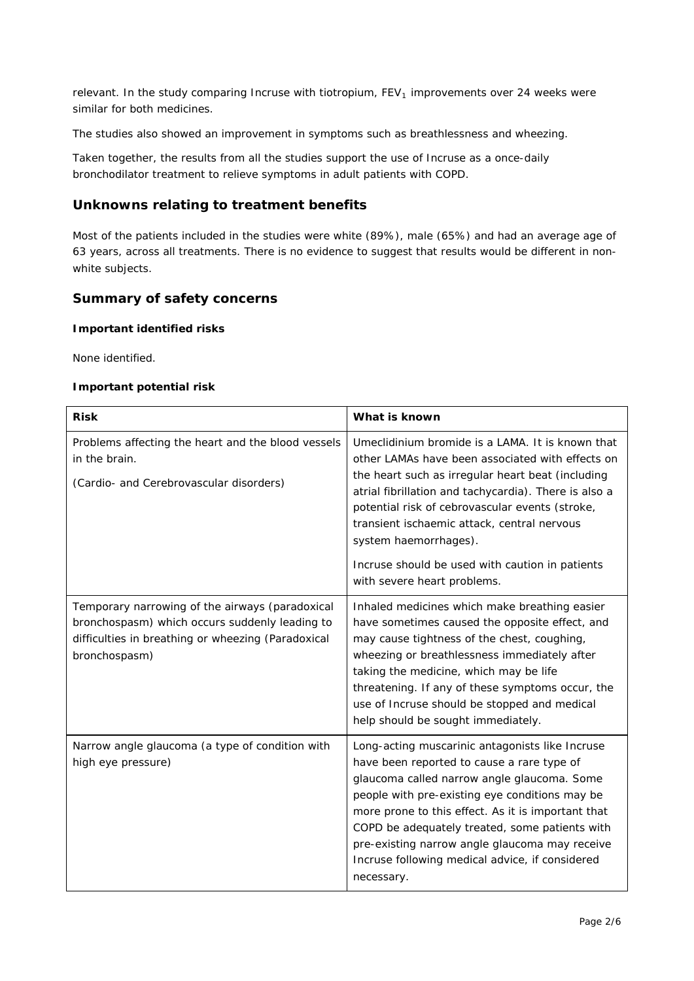relevant. In the study comparing Incruse with tiotropium,  $FEV<sub>1</sub>$  improvements over 24 weeks were similar for both medicines.

The studies also showed an improvement in symptoms such as breathlessness and wheezing.

Taken together, the results from all the studies support the use of Incruse as a once-daily bronchodilator treatment to relieve symptoms in adult patients with COPD.

## **Unknowns relating to treatment benefits**

Most of the patients included in the studies were white (89%), male (65%) and had an average age of 63 years, across all treatments. There is no evidence to suggest that results would be different in nonwhite subjects.

## **Summary of safety concerns**

#### *Important identified risks*

None identified.

#### *Important potential risk*

| <b>Risk</b>                                                                                                                                                              | What is known                                                                                                                                                                                                                                                                                                                                                                                                                   |
|--------------------------------------------------------------------------------------------------------------------------------------------------------------------------|---------------------------------------------------------------------------------------------------------------------------------------------------------------------------------------------------------------------------------------------------------------------------------------------------------------------------------------------------------------------------------------------------------------------------------|
| Problems affecting the heart and the blood vessels<br>in the brain.<br>(Cardio- and Cerebrovascular disorders)                                                           | Umeclidinium bromide is a LAMA. It is known that<br>other LAMAs have been associated with effects on<br>the heart such as irregular heart beat (including<br>atrial fibrillation and tachycardia). There is also a<br>potential risk of cebrovascular events (stroke,<br>transient ischaemic attack, central nervous<br>system haemorrhages).<br>Incruse should be used with caution in patients<br>with severe heart problems. |
| Temporary narrowing of the airways (paradoxical<br>bronchospasm) which occurs suddenly leading to<br>difficulties in breathing or wheezing (Paradoxical<br>bronchospasm) | Inhaled medicines which make breathing easier<br>have sometimes caused the opposite effect, and<br>may cause tightness of the chest, coughing,<br>wheezing or breathlessness immediately after<br>taking the medicine, which may be life<br>threatening. If any of these symptoms occur, the<br>use of Incruse should be stopped and medical<br>help should be sought immediately.                                              |
| Narrow angle glaucoma (a type of condition with<br>high eye pressure)                                                                                                    | Long-acting muscarinic antagonists like Incruse<br>have been reported to cause a rare type of<br>glaucoma called narrow angle glaucoma. Some<br>people with pre-existing eye conditions may be<br>more prone to this effect. As it is important that<br>COPD be adequately treated, some patients with<br>pre-existing narrow angle glaucoma may receive<br>Incruse following medical advice, if considered<br>necessary.       |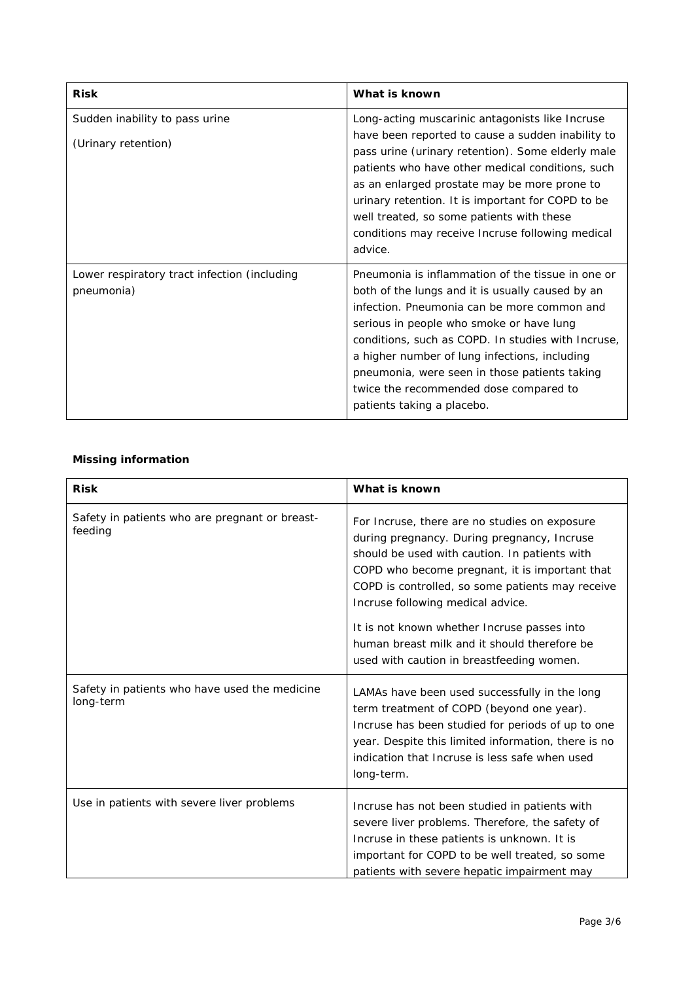| <b>Risk</b>                                                | What is known                                                                                                                                                                                                                                                                                                                                                                                                                    |
|------------------------------------------------------------|----------------------------------------------------------------------------------------------------------------------------------------------------------------------------------------------------------------------------------------------------------------------------------------------------------------------------------------------------------------------------------------------------------------------------------|
| Sudden inability to pass urine<br>(Urinary retention)      | Long-acting muscarinic antagonists like Incruse<br>have been reported to cause a sudden inability to<br>pass urine (urinary retention). Some elderly male<br>patients who have other medical conditions, such<br>as an enlarged prostate may be more prone to<br>urinary retention. It is important for COPD to be<br>well treated, so some patients with these<br>conditions may receive Incruse following medical<br>advice.   |
| Lower respiratory tract infection (including<br>pneumonia) | Pneumonia is inflammation of the tissue in one or<br>both of the lungs and it is usually caused by an<br>infection. Pneumonia can be more common and<br>serious in people who smoke or have lung<br>conditions, such as COPD. In studies with Incruse,<br>a higher number of lung infections, including<br>pneumonia, were seen in those patients taking<br>twice the recommended dose compared to<br>patients taking a placebo. |

## *Missing information*

| <b>Risk</b>                                                | What is known                                                                                                                                                                                                                                                                                                                                                                                                                        |
|------------------------------------------------------------|--------------------------------------------------------------------------------------------------------------------------------------------------------------------------------------------------------------------------------------------------------------------------------------------------------------------------------------------------------------------------------------------------------------------------------------|
| Safety in patients who are pregnant or breast-<br>feeding  | For Incruse, there are no studies on exposure<br>during pregnancy. During pregnancy, Incruse<br>should be used with caution. In patients with<br>COPD who become pregnant, it is important that<br>COPD is controlled, so some patients may receive<br>Incruse following medical advice.<br>It is not known whether Incruse passes into<br>human breast milk and it should therefore be<br>used with caution in breastfeeding women. |
| Safety in patients who have used the medicine<br>long-term | LAMAs have been used successfully in the long<br>term treatment of COPD (beyond one year).<br>Incruse has been studied for periods of up to one<br>year. Despite this limited information, there is no<br>indication that Incruse is less safe when used<br>long-term.                                                                                                                                                               |
| Use in patients with severe liver problems                 | Incruse has not been studied in patients with<br>severe liver problems. Therefore, the safety of<br>Incruse in these patients is unknown. It is<br>important for COPD to be well treated, so some<br>patients with severe hepatic impairment may                                                                                                                                                                                     |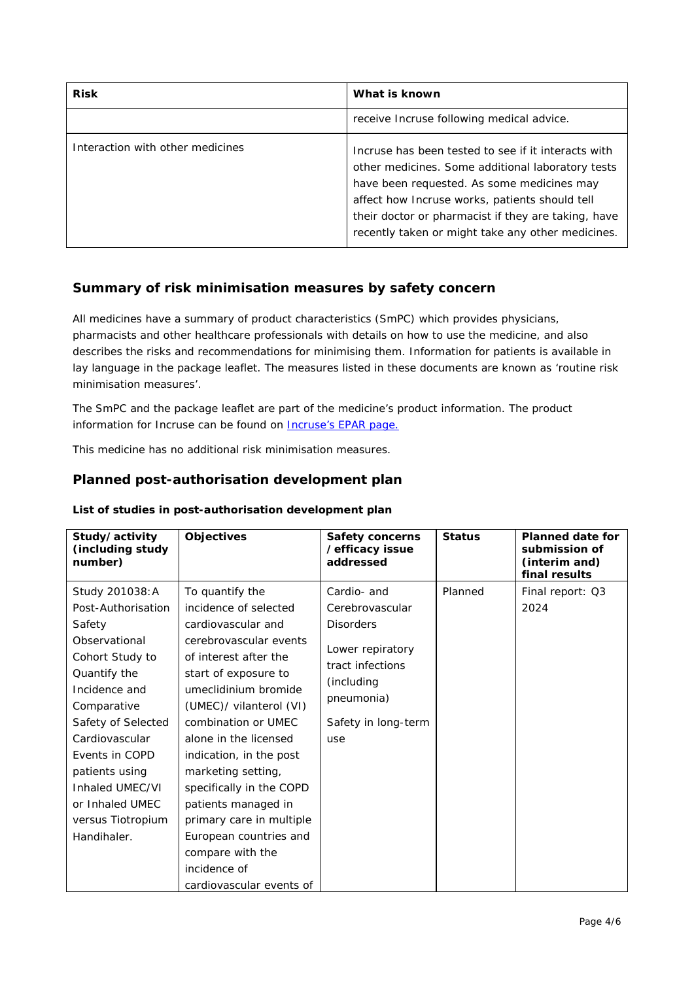| <b>Risk</b>                      | What is known                                                                                                                                                                                                                                                                                                        |
|----------------------------------|----------------------------------------------------------------------------------------------------------------------------------------------------------------------------------------------------------------------------------------------------------------------------------------------------------------------|
|                                  | receive Incruse following medical advice.                                                                                                                                                                                                                                                                            |
| Interaction with other medicines | Incruse has been tested to see if it interacts with<br>other medicines. Some additional laboratory tests<br>have been requested. As some medicines may<br>affect how Incruse works, patients should tell<br>their doctor or pharmacist if they are taking, have<br>recently taken or might take any other medicines. |

## **Summary of risk minimisation measures by safety concern**

All medicines have a summary of product characteristics (SmPC) which provides physicians, pharmacists and other healthcare professionals with details on how to use the medicine, and also describes the risks and recommendations for minimising them. Information for patients is available in lay language in the package leaflet. The measures listed in these documents are known as 'routine risk minimisation measures'.

The SmPC and the package leaflet are part of the medicine's product information. The product information for Incruse can be found on **Incruse's EPAR** page.

This medicine has no additional risk minimisation measures.

## **Planned post-authorisation development plan**

| Study/activity<br>(including study<br>number)                                                                                                                                                                                                                                             | <b>Objectives</b>                                                                                                                                                                                                                                                                                                                                                                                                                          | <b>Safety concerns</b><br>/efficacy issue<br>addressed                                                                                               | <b>Status</b> | <b>Planned date for</b><br>submission of<br>(interim and)<br>final results |
|-------------------------------------------------------------------------------------------------------------------------------------------------------------------------------------------------------------------------------------------------------------------------------------------|--------------------------------------------------------------------------------------------------------------------------------------------------------------------------------------------------------------------------------------------------------------------------------------------------------------------------------------------------------------------------------------------------------------------------------------------|------------------------------------------------------------------------------------------------------------------------------------------------------|---------------|----------------------------------------------------------------------------|
| Study 201038: A<br>Post-Authorisation<br>Safety<br>Observational<br>Cohort Study to<br>Quantify the<br>Incidence and<br>Comparative<br>Safety of Selected<br>Cardiovascular<br>Events in COPD<br>patients using<br>Inhaled UMEC/VI<br>or Inhaled UMEC<br>versus Tiotropium<br>Handihaler. | To quantify the<br>incidence of selected<br>cardiovascular and<br>cerebrovascular events<br>of interest after the<br>start of exposure to<br>umeclidinium bromide<br>(UMEC)/ vilanterol (VI)<br>combination or UMEC<br>alone in the licensed<br>indication, in the post<br>marketing setting,<br>specifically in the COPD<br>patients managed in<br>primary care in multiple<br>European countries and<br>compare with the<br>incidence of | Cardio- and<br>Cerebrovascular<br><b>Disorders</b><br>Lower repiratory<br>tract infections<br>(including<br>pneumonia)<br>Safety in long-term<br>use | Planned       | Final report: Q3<br>2024                                                   |
|                                                                                                                                                                                                                                                                                           | cardiovascular events of                                                                                                                                                                                                                                                                                                                                                                                                                   |                                                                                                                                                      |               |                                                                            |

#### *List of studies in post-authorisation development plan*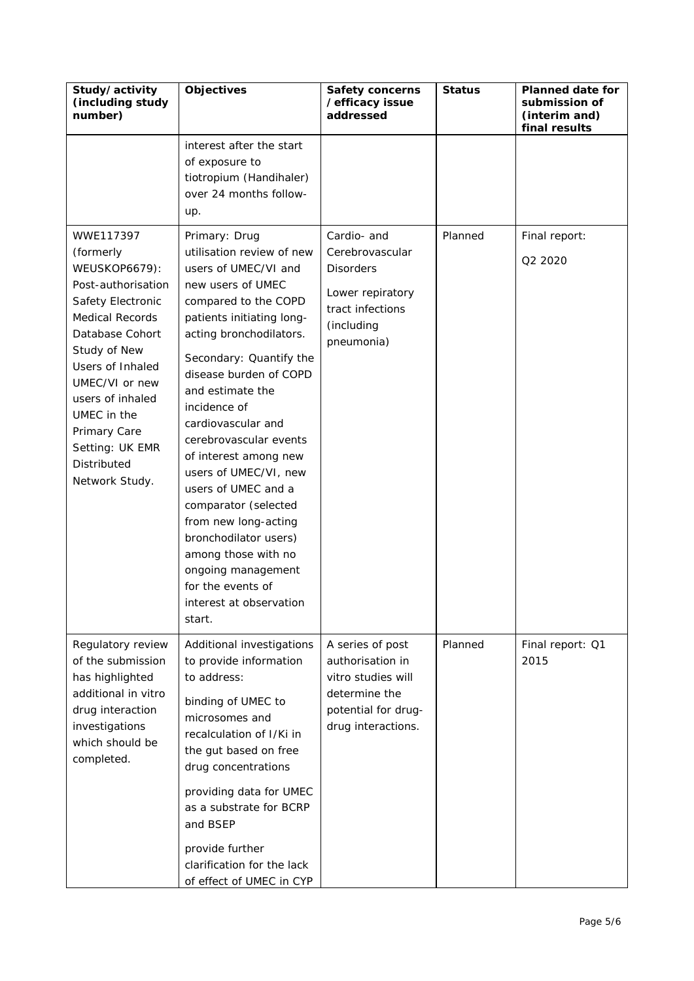| Study/activity<br>(including study<br>number)                                                                                                                                                                                                                                                       | <b>Objectives</b>                                                                                                                                                                                                                                                                                                                                                                                                                                                                                                                                                         | <b>Safety concerns</b><br>/efficacy issue<br>addressed                                                                   | <b>Status</b> | <b>Planned date for</b><br>submission of<br>(interim and)<br>final results |
|-----------------------------------------------------------------------------------------------------------------------------------------------------------------------------------------------------------------------------------------------------------------------------------------------------|---------------------------------------------------------------------------------------------------------------------------------------------------------------------------------------------------------------------------------------------------------------------------------------------------------------------------------------------------------------------------------------------------------------------------------------------------------------------------------------------------------------------------------------------------------------------------|--------------------------------------------------------------------------------------------------------------------------|---------------|----------------------------------------------------------------------------|
|                                                                                                                                                                                                                                                                                                     | interest after the start<br>of exposure to<br>tiotropium (Handihaler)<br>over 24 months follow-<br>up.                                                                                                                                                                                                                                                                                                                                                                                                                                                                    |                                                                                                                          |               |                                                                            |
| WWE117397<br>(formerly<br><b>WEUSKOP6679):</b><br>Post-authorisation<br>Safety Electronic<br><b>Medical Records</b><br>Database Cohort<br>Study of New<br>Users of Inhaled<br>UMEC/VI or new<br>users of inhaled<br>UMEC in the<br>Primary Care<br>Setting: UK EMR<br>Distributed<br>Network Study. | Primary: Drug<br>utilisation review of new<br>users of UMEC/VI and<br>new users of UMEC<br>compared to the COPD<br>patients initiating long-<br>acting bronchodilators.<br>Secondary: Quantify the<br>disease burden of COPD<br>and estimate the<br>incidence of<br>cardiovascular and<br>cerebrovascular events<br>of interest among new<br>users of UMEC/VI, new<br>users of UMEC and a<br>comparator (selected<br>from new long-acting<br>bronchodilator users)<br>among those with no<br>ongoing management<br>for the events of<br>interest at observation<br>start. | Cardio- and<br>Cerebrovascular<br><b>Disorders</b><br>Lower repiratory<br>tract infections<br>(including<br>pneumonia)   | Planned       | Final report:<br>Q2 2020                                                   |
| Regulatory review<br>of the submission<br>has highlighted<br>additional in vitro<br>drug interaction<br>investigations<br>which should be<br>completed.                                                                                                                                             | Additional investigations<br>to provide information<br>to address:<br>binding of UMEC to<br>microsomes and<br>recalculation of I/Ki in<br>the gut based on free<br>drug concentrations<br>providing data for UMEC<br>as a substrate for BCRP<br>and BSEP<br>provide further<br>clarification for the lack<br>of effect of UMEC in CYP                                                                                                                                                                                                                                     | A series of post<br>authorisation in<br>vitro studies will<br>determine the<br>potential for drug-<br>drug interactions. | Planned       | Final report: Q1<br>2015                                                   |